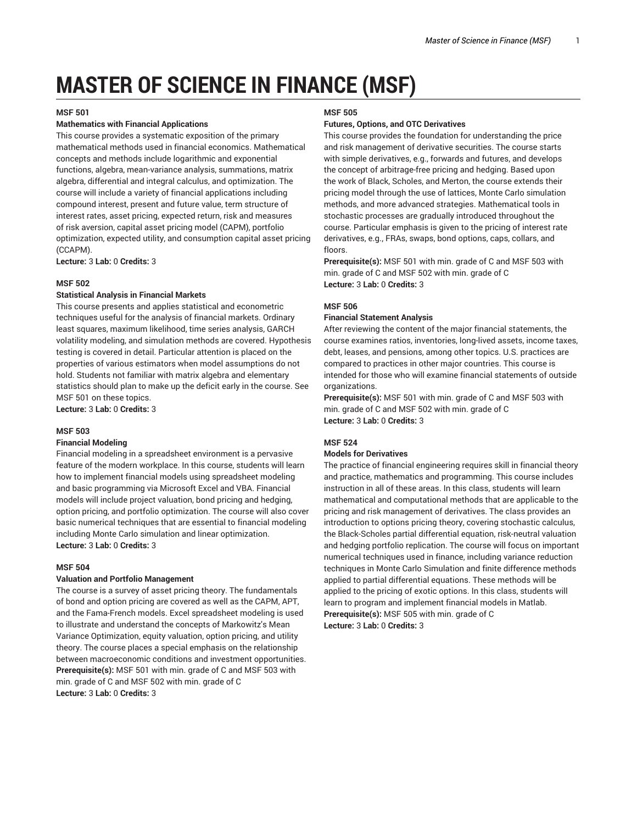# **MASTER OF SCIENCE IN FINANCE (MSF)**

#### **MSF 501**

#### **Mathematics with Financial Applications**

This course provides a systematic exposition of the primary mathematical methods used in financial economics. Mathematical concepts and methods include logarithmic and exponential functions, algebra, mean-variance analysis, summations, matrix algebra, differential and integral calculus, and optimization. The course will include a variety of financial applications including compound interest, present and future value, term structure of interest rates, asset pricing, expected return, risk and measures of risk aversion, capital asset pricing model (CAPM), portfolio optimization, expected utility, and consumption capital asset pricing (CCAPM).

**Lecture:** 3 **Lab:** 0 **Credits:** 3

#### **MSF 502**

#### **Statistical Analysis in Financial Markets**

This course presents and applies statistical and econometric techniques useful for the analysis of financial markets. Ordinary least squares, maximum likelihood, time series analysis, GARCH volatility modeling, and simulation methods are covered. Hypothesis testing is covered in detail. Particular attention is placed on the properties of various estimators when model assumptions do not hold. Students not familiar with matrix algebra and elementary statistics should plan to make up the deficit early in the course. See MSF 501 on these topics.

**Lecture:** 3 **Lab:** 0 **Credits:** 3

# **MSF 503**

# **Financial Modeling**

Financial modeling in a spreadsheet environment is a pervasive feature of the modern workplace. In this course, students will learn how to implement financial models using spreadsheet modeling and basic programming via Microsoft Excel and VBA. Financial models will include project valuation, bond pricing and hedging, option pricing, and portfolio optimization. The course will also cover basic numerical techniques that are essential to financial modeling including Monte Carlo simulation and linear optimization. **Lecture:** 3 **Lab:** 0 **Credits:** 3

#### **MSF 504**

#### **Valuation and Portfolio Management**

The course is a survey of asset pricing theory. The fundamentals of bond and option pricing are covered as well as the CAPM, APT, and the Fama-French models. Excel spreadsheet modeling is used to illustrate and understand the concepts of Markowitz's Mean Variance Optimization, equity valuation, option pricing, and utility theory. The course places a special emphasis on the relationship between macroeconomic conditions and investment opportunities. **Prerequisite(s):** MSF 501 with min. grade of C and MSF 503 with min. grade of C and MSF 502 with min. grade of C **Lecture:** 3 **Lab:** 0 **Credits:** 3

#### **MSF 505**

#### **Futures, Options, and OTC Derivatives**

This course provides the foundation for understanding the price and risk management of derivative securities. The course starts with simple derivatives, e.g., forwards and futures, and develops the concept of arbitrage-free pricing and hedging. Based upon the work of Black, Scholes, and Merton, the course extends their pricing model through the use of lattices, Monte Carlo simulation methods, and more advanced strategies. Mathematical tools in stochastic processes are gradually introduced throughout the course. Particular emphasis is given to the pricing of interest rate derivatives, e.g., FRAs, swaps, bond options, caps, collars, and floors

**Prerequisite(s):** MSF 501 with min. grade of C and MSF 503 with min. grade of C and MSF 502 with min. grade of C **Lecture:** 3 **Lab:** 0 **Credits:** 3

## **MSF 506**

#### **Financial Statement Analysis**

After reviewing the content of the major financial statements, the course examines ratios, inventories, long-lived assets, income taxes, debt, leases, and pensions, among other topics. U.S. practices are compared to practices in other major countries. This course is intended for those who will examine financial statements of outside organizations.

**Prerequisite(s):** MSF 501 with min. grade of C and MSF 503 with min. grade of C and MSF 502 with min. grade of C **Lecture:** 3 **Lab:** 0 **Credits:** 3

#### **MSF 524**

# **Models for Derivatives**

The practice of financial engineering requires skill in financial theory and practice, mathematics and programming. This course includes instruction in all of these areas. In this class, students will learn mathematical and computational methods that are applicable to the pricing and risk management of derivatives. The class provides an introduction to options pricing theory, covering stochastic calculus, the Black-Scholes partial differential equation, risk-neutral valuation and hedging portfolio replication. The course will focus on important numerical techniques used in finance, including variance reduction techniques in Monte Carlo Simulation and finite difference methods applied to partial differential equations. These methods will be applied to the pricing of exotic options. In this class, students will learn to program and implement financial models in Matlab. **Prerequisite(s):** MSF 505 with min. grade of C **Lecture:** 3 **Lab:** 0 **Credits:** 3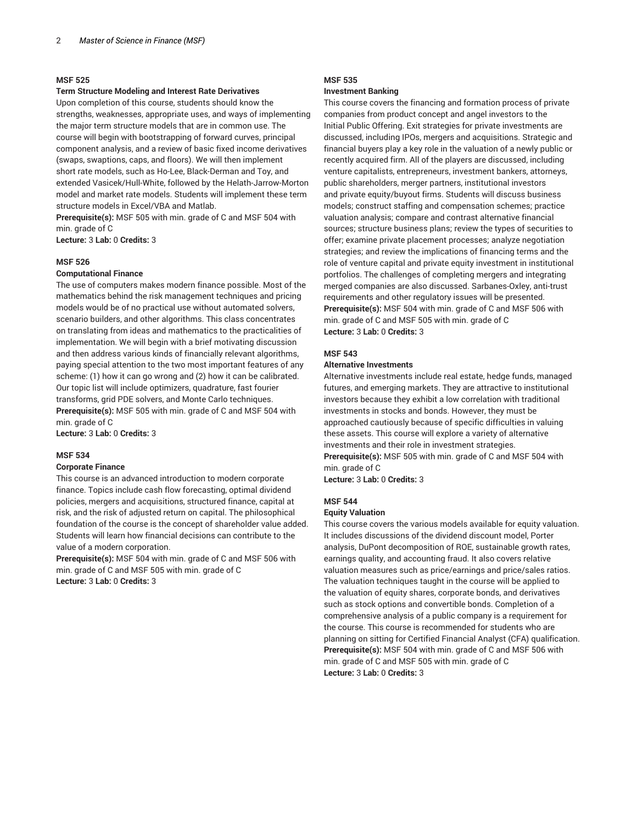#### **Term Structure Modeling and Interest Rate Derivatives**

Upon completion of this course, students should know the strengths, weaknesses, appropriate uses, and ways of implementing the major term structure models that are in common use. The course will begin with bootstrapping of forward curves, principal component analysis, and a review of basic fixed income derivatives (swaps, swaptions, caps, and floors). We will then implement short rate models, such as Ho-Lee, Black-Derman and Toy, and extended Vasicek/Hull-White, followed by the Helath-Jarrow-Morton model and market rate models. Students will implement these term structure models in Excel/VBA and Matlab.

**Prerequisite(s):** MSF 505 with min. grade of C and MSF 504 with min. grade of C

**Lecture:** 3 **Lab:** 0 **Credits:** 3

# **MSF 526**

# **Computational Finance**

The use of computers makes modern finance possible. Most of the mathematics behind the risk management techniques and pricing models would be of no practical use without automated solvers, scenario builders, and other algorithms. This class concentrates on translating from ideas and mathematics to the practicalities of implementation. We will begin with a brief motivating discussion and then address various kinds of financially relevant algorithms, paying special attention to the two most important features of any scheme: (1) how it can go wrong and (2) how it can be calibrated. Our topic list will include optimizers, quadrature, fast fourier transforms, grid PDE solvers, and Monte Carlo techniques. **Prerequisite(s):** MSF 505 with min. grade of C and MSF 504 with min. grade of C

**Lecture:** 3 **Lab:** 0 **Credits:** 3

#### **MSF 534**

#### **Corporate Finance**

This course is an advanced introduction to modern corporate finance. Topics include cash flow forecasting, optimal dividend policies, mergers and acquisitions, structured finance, capital at risk, and the risk of adjusted return on capital. The philosophical foundation of the course is the concept of shareholder value added. Students will learn how financial decisions can contribute to the value of a modern corporation.

**Prerequisite(s):** MSF 504 with min. grade of C and MSF 506 with min. grade of C and MSF 505 with min. grade of C **Lecture:** 3 **Lab:** 0 **Credits:** 3

# **MSF 535 Investment Banking**

This course covers the financing and formation process of private companies from product concept and angel investors to the Initial Public Offering. Exit strategies for private investments are discussed, including IPOs, mergers and acquisitions. Strategic and financial buyers play a key role in the valuation of a newly public or recently acquired firm. All of the players are discussed, including venture capitalists, entrepreneurs, investment bankers, attorneys, public shareholders, merger partners, institutional investors and private equity/buyout firms. Students will discuss business models; construct staffing and compensation schemes; practice valuation analysis; compare and contrast alternative financial sources; structure business plans; review the types of securities to offer; examine private placement processes; analyze negotiation strategies; and review the implications of financing terms and the role of venture capital and private equity investment in institutional portfolios. The challenges of completing mergers and integrating merged companies are also discussed. Sarbanes-Oxley, anti-trust requirements and other regulatory issues will be presented. **Prerequisite(s):** MSF 504 with min. grade of C and MSF 506 with min. grade of C and MSF 505 with min. grade of C **Lecture:** 3 **Lab:** 0 **Credits:** 3

#### **MSF 543**

#### **Alternative Investments**

Alternative investments include real estate, hedge funds, managed futures, and emerging markets. They are attractive to institutional investors because they exhibit a low correlation with traditional investments in stocks and bonds. However, they must be approached cautiously because of specific difficulties in valuing these assets. This course will explore a variety of alternative investments and their role in investment strategies. **Prerequisite(s):** MSF 505 with min. grade of C and MSF 504 with min. grade of C

**Lecture:** 3 **Lab:** 0 **Credits:** 3

#### **MSF 544**

#### **Equity Valuation**

This course covers the various models available for equity valuation. It includes discussions of the dividend discount model, Porter analysis, DuPont decomposition of ROE, sustainable growth rates, earnings quality, and accounting fraud. It also covers relative valuation measures such as price/earnings and price/sales ratios. The valuation techniques taught in the course will be applied to the valuation of equity shares, corporate bonds, and derivatives such as stock options and convertible bonds. Completion of a comprehensive analysis of a public company is a requirement for the course. This course is recommended for students who are planning on sitting for Certified Financial Analyst (CFA) qualification. **Prerequisite(s):** MSF 504 with min. grade of C and MSF 506 with min. grade of C and MSF 505 with min. grade of C **Lecture:** 3 **Lab:** 0 **Credits:** 3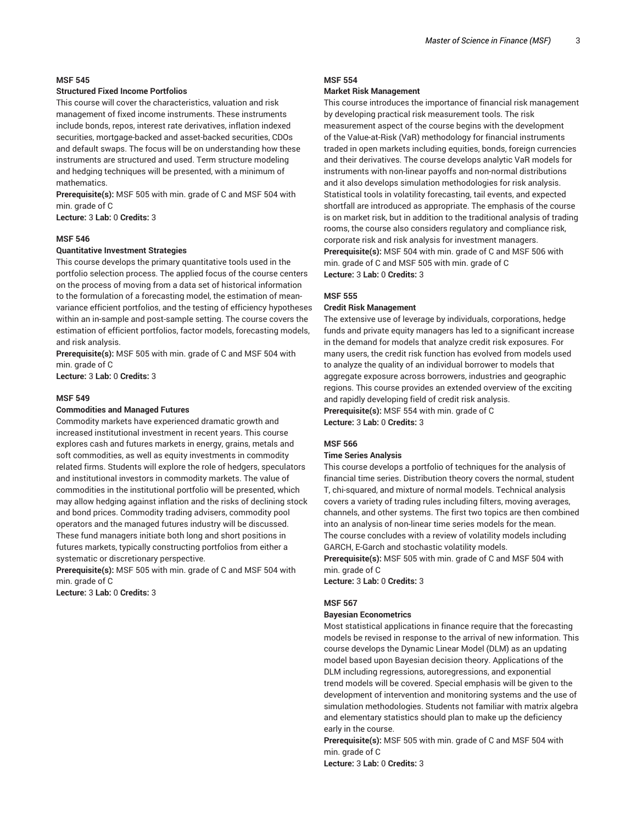# **Structured Fixed Income Portfolios**

This course will cover the characteristics, valuation and risk management of fixed income instruments. These instruments include bonds, repos, interest rate derivatives, inflation indexed securities, mortgage-backed and asset-backed securities, CDOs and default swaps. The focus will be on understanding how these instruments are structured and used. Term structure modeling and hedging techniques will be presented, with a minimum of mathematics.

**Prerequisite(s):** MSF 505 with min. grade of C and MSF 504 with min. grade of C

**Lecture:** 3 **Lab:** 0 **Credits:** 3

## **MSF 546**

# **Quantitative Investment Strategies**

This course develops the primary quantitative tools used in the portfolio selection process. The applied focus of the course centers on the process of moving from a data set of historical information to the formulation of a forecasting model, the estimation of meanvariance efficient portfolios, and the testing of efficiency hypotheses within an in-sample and post-sample setting. The course covers the estimation of efficient portfolios, factor models, forecasting models, and risk analysis.

**Prerequisite(s):** MSF 505 with min. grade of C and MSF 504 with min. grade of C

**Lecture:** 3 **Lab:** 0 **Credits:** 3

# **MSF 549**

## **Commodities and Managed Futures**

Commodity markets have experienced dramatic growth and increased institutional investment in recent years. This course explores cash and futures markets in energy, grains, metals and soft commodities, as well as equity investments in commodity related firms. Students will explore the role of hedgers, speculators and institutional investors in commodity markets. The value of commodities in the institutional portfolio will be presented, which may allow hedging against inflation and the risks of declining stock and bond prices. Commodity trading advisers, commodity pool operators and the managed futures industry will be discussed. These fund managers initiate both long and short positions in futures markets, typically constructing portfolios from either a systematic or discretionary perspective.

**Prerequisite(s):** MSF 505 with min. grade of C and MSF 504 with min. grade of C

**Lecture:** 3 **Lab:** 0 **Credits:** 3

# **MSF 554**

#### **Market Risk Management**

This course introduces the importance of financial risk management by developing practical risk measurement tools. The risk measurement aspect of the course begins with the development of the Value-at-Risk (VaR) methodology for financial instruments traded in open markets including equities, bonds, foreign currencies and their derivatives. The course develops analytic VaR models for instruments with non-linear payoffs and non-normal distributions and it also develops simulation methodologies for risk analysis. Statistical tools in volatility forecasting, tail events, and expected shortfall are introduced as appropriate. The emphasis of the course is on market risk, but in addition to the traditional analysis of trading rooms, the course also considers regulatory and compliance risk, corporate risk and risk analysis for investment managers. **Prerequisite(s):** MSF 504 with min. grade of C and MSF 506 with min. grade of C and MSF 505 with min. grade of C **Lecture:** 3 **Lab:** 0 **Credits:** 3

#### **MSF 555**

#### **Credit Risk Management**

The extensive use of leverage by individuals, corporations, hedge funds and private equity managers has led to a significant increase in the demand for models that analyze credit risk exposures. For many users, the credit risk function has evolved from models used to analyze the quality of an individual borrower to models that aggregate exposure across borrowers, industries and geographic regions. This course provides an extended overview of the exciting and rapidly developing field of credit risk analysis. **Prerequisite(s):** MSF 554 with min. grade of C **Lecture:** 3 **Lab:** 0 **Credits:** 3

#### **MSF 566**

#### **Time Series Analysis**

This course develops a portfolio of techniques for the analysis of financial time series. Distribution theory covers the normal, student T, chi-squared, and mixture of normal models. Technical analysis covers a variety of trading rules including filters, moving averages, channels, and other systems. The first two topics are then combined into an analysis of non-linear time series models for the mean. The course concludes with a review of volatility models including GARCH, E-Garch and stochastic volatility models. **Prerequisite(s):** MSF 505 with min. grade of C and MSF 504 with min. grade of C

**Lecture:** 3 **Lab:** 0 **Credits:** 3

## **MSF 567**

# **Bayesian Econometrics**

Most statistical applications in finance require that the forecasting models be revised in response to the arrival of new information. This course develops the Dynamic Linear Model (DLM) as an updating model based upon Bayesian decision theory. Applications of the DLM including regressions, autoregressions, and exponential trend models will be covered. Special emphasis will be given to the development of intervention and monitoring systems and the use of simulation methodologies. Students not familiar with matrix algebra and elementary statistics should plan to make up the deficiency early in the course.

**Prerequisite(s):** MSF 505 with min. grade of C and MSF 504 with min. grade of C

**Lecture:** 3 **Lab:** 0 **Credits:** 3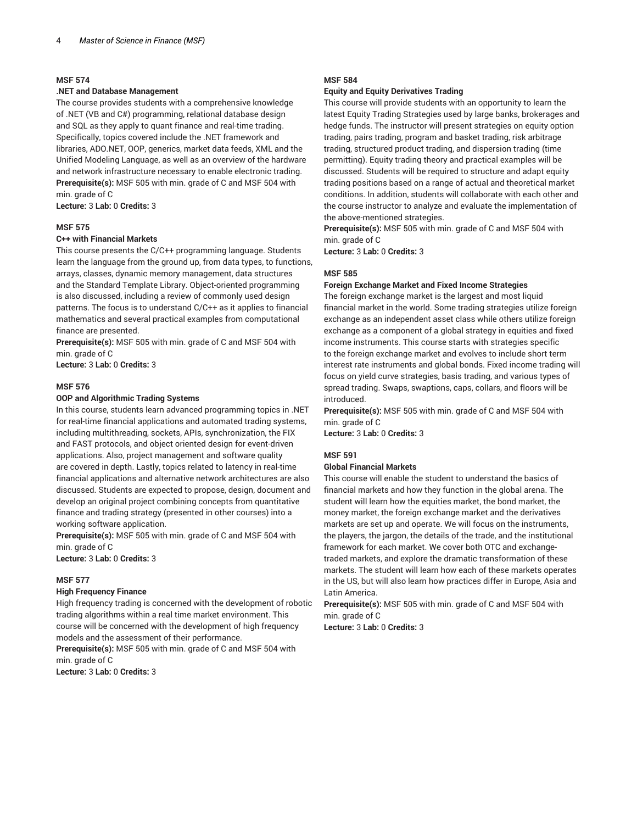#### **.NET and Database Management**

The course provides students with a comprehensive knowledge of .NET (VB and C#) programming, relational database design and SQL as they apply to quant finance and real-time trading. Specifically, topics covered include the .NET framework and libraries, ADO.NET, OOP, generics, market data feeds, XML and the Unified Modeling Language, as well as an overview of the hardware and network infrastructure necessary to enable electronic trading. **Prerequisite(s):** MSF 505 with min. grade of C and MSF 504 with min. grade of C

**Lecture:** 3 **Lab:** 0 **Credits:** 3

# **MSF 575**

# **C++ with Financial Markets**

This course presents the C/C++ programming language. Students learn the language from the ground up, from data types, to functions, arrays, classes, dynamic memory management, data structures and the Standard Template Library. Object-oriented programming is also discussed, including a review of commonly used design patterns. The focus is to understand C/C++ as it applies to financial mathematics and several practical examples from computational finance are presented.

**Prerequisite(s):** MSF 505 with min. grade of C and MSF 504 with min. grade of C

**Lecture:** 3 **Lab:** 0 **Credits:** 3

#### **MSF 576**

#### **OOP and Algorithmic Trading Systems**

In this course, students learn advanced programming topics in .NET for real-time financial applications and automated trading systems, including multithreading, sockets, APIs, synchronization, the FIX and FAST protocols, and object oriented design for event-driven applications. Also, project management and software quality are covered in depth. Lastly, topics related to latency in real-time financial applications and alternative network architectures are also discussed. Students are expected to propose, design, document and develop an original project combining concepts from quantitative finance and trading strategy (presented in other courses) into a working software application.

**Prerequisite(s):** MSF 505 with min. grade of C and MSF 504 with min. grade of C

**Lecture:** 3 **Lab:** 0 **Credits:** 3

#### **MSF 577**

#### **High Frequency Finance**

High frequency trading is concerned with the development of robotic trading algorithms within a real time market environment. This course will be concerned with the development of high frequency models and the assessment of their performance.

**Prerequisite(s):** MSF 505 with min. grade of C and MSF 504 with min. grade of C

**Lecture:** 3 **Lab:** 0 **Credits:** 3

# **MSF 584**

#### **Equity and Equity Derivatives Trading**

This course will provide students with an opportunity to learn the latest Equity Trading Strategies used by large banks, brokerages and hedge funds. The instructor will present strategies on equity option trading, pairs trading, program and basket trading, risk arbitrage trading, structured product trading, and dispersion trading (time permitting). Equity trading theory and practical examples will be discussed. Students will be required to structure and adapt equity trading positions based on a range of actual and theoretical market conditions. In addition, students will collaborate with each other and the course instructor to analyze and evaluate the implementation of the above-mentioned strategies.

**Prerequisite(s):** MSF 505 with min. grade of C and MSF 504 with min. grade of C

**Lecture:** 3 **Lab:** 0 **Credits:** 3

# **MSF 585**

#### **Foreign Exchange Market and Fixed Income Strategies**

The foreign exchange market is the largest and most liquid financial market in the world. Some trading strategies utilize foreign exchange as an independent asset class while others utilize foreign exchange as a component of a global strategy in equities and fixed income instruments. This course starts with strategies specific to the foreign exchange market and evolves to include short term interest rate instruments and global bonds. Fixed income trading will focus on yield curve strategies, basis trading, and various types of spread trading. Swaps, swaptions, caps, collars, and floors will be introduced.

**Prerequisite(s):** MSF 505 with min. grade of C and MSF 504 with min. grade of C

**Lecture:** 3 **Lab:** 0 **Credits:** 3

# **MSF 591**

# **Global Financial Markets**

This course will enable the student to understand the basics of financial markets and how they function in the global arena. The student will learn how the equities market, the bond market, the money market, the foreign exchange market and the derivatives markets are set up and operate. We will focus on the instruments, the players, the jargon, the details of the trade, and the institutional framework for each market. We cover both OTC and exchangetraded markets, and explore the dramatic transformation of these markets. The student will learn how each of these markets operates in the US, but will also learn how practices differ in Europe, Asia and Latin America.

**Prerequisite(s):** MSF 505 with min. grade of C and MSF 504 with min. grade of C

**Lecture:** 3 **Lab:** 0 **Credits:** 3